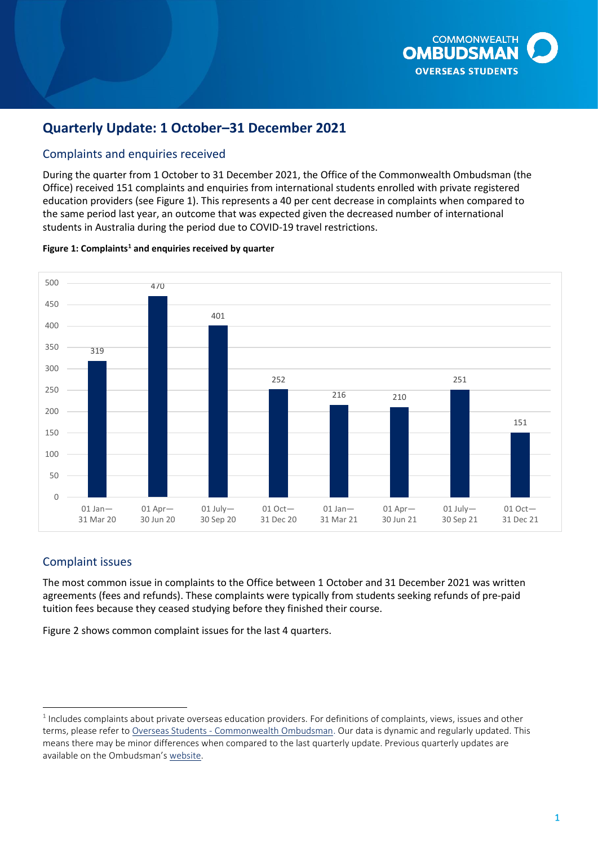

# **Quarterly Update: 1 October–31 December 2021**

# Complaints and enquiries received

During the quarter from 1 October to 31 December 2021, the Office of the Commonwealth Ombudsman (the Office) received 151 complaints and enquiries from international students enrolled with private registered education providers (see Figure 1). This represents a 40 per cent decrease in complaints when compared to the same period last year, an outcome that was expected given the decreased number of international students in Australia during the period due to COVID-19 travel restrictions.

#### Figure 1: Complaints<sup>1</sup> and enquiries received by quarter



## Complaint issues

The most common issue in complaints to the Office between 1 October and 31 December 2021 was written agreements (fees and refunds). These complaints were typically from students seeking refunds of pre-paid tuition fees because they ceased studying before they finished their course.

Figure 2 shows common complaint issues for the last 4 quarters.

 $1$  Includes complaints about private overseas education providers. For definitions of complaints, views, issues and other terms, please refer to Overseas Students - [Commonwealth Ombudsman.](https://www.ombudsman.gov.au/__data/assets/pdf_file/0011/110621/Overseas-Students-Quarterly-Summary-October-to-December-2019.pdf) Our data is dynamic and regularly updated. This means there may be minor differences when compared to the last quarterly update. Previous quarterly updates are available on the Ombudsman's [website.](https://www.ombudsman.gov.au/publications/industry/)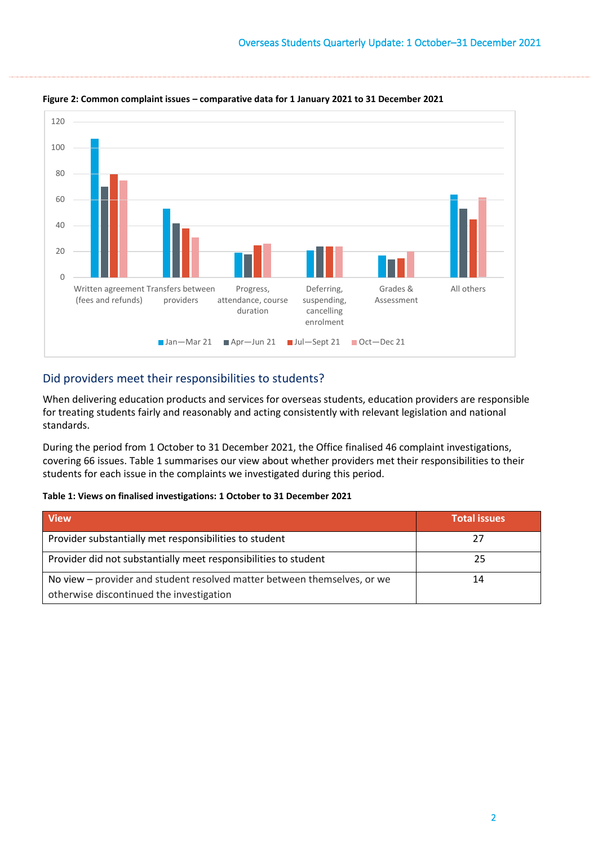

**Figure 2: Common complaint issues – comparative data for 1 January 2021 to 31 December 2021** 

### Did providers meet their responsibilities to students?

When delivering education products and services for overseas students, education providers are responsible for treating students fairly and reasonably and acting consistently with relevant legislation and national standards.

During the period from 1 October to 31 December 2021, the Office finalised 46 complaint investigations, covering 66 issues. [Table 1 s](#page-1-0)ummarises our view about whether providers met their responsibilities to their students for each issue in the complaints we investigated during this period.

#### <span id="page-1-0"></span>**Table 1: Views on finalised investigations: 1 October to 31 December 2021**

| <b>View</b>                                                              | <b>Total issues</b> |
|--------------------------------------------------------------------------|---------------------|
| Provider substantially met responsibilities to student                   | 77                  |
| Provider did not substantially meet responsibilities to student          | 25                  |
| No view – provider and student resolved matter between themselves, or we | 14                  |
| otherwise discontinued the investigation                                 |                     |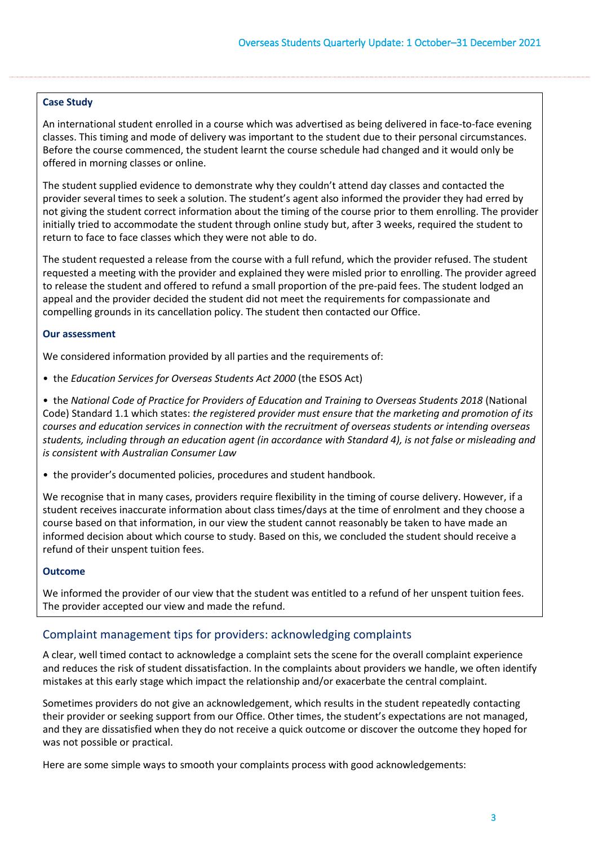### **Case Study**

An international student enrolled in a course which was advertised as being delivered in face-to-face evening classes. This timing and mode of delivery was important to the student due to their personal circumstances. Before the course commenced, the student learnt the course schedule had changed and it would only be offered in morning classes or online.

The student supplied evidence to demonstrate why they couldn't attend day classes and contacted the provider several times to seek a solution. The student's agent also informed the provider they had erred by not giving the student correct information about the timing of the course prior to them enrolling. The provider initially tried to accommodate the student through online study but, after 3 weeks, required the student to return to face to face classes which they were not able to do.

The student requested a release from the course with a full refund, which the provider refused. The student requested a meeting with the provider and explained they were misled prior to enrolling. The provider agreed to release the student and offered to refund a small proportion of the pre-paid fees. The student lodged an appeal and the provider decided the student did not meet the requirements for compassionate and compelling grounds in its cancellation policy. The student then contacted our Office.

### **Our assessment**

We considered information provided by all parties and the requirements of:

• the *Education Services for Overseas Students Act 2000* (the ESOS Act)

 • the *National Code of Practice for Providers of Education and Training to Overseas Students 2018* (National  Code) Standard 1.1 which states: *the registered provider must ensure that the marketing and promotion of its courses and education services in connection with the recruitment of overseas students or intending overseas students, including through an education agent (in accordance with Standard 4), is not false or misleading and is consistent with Australian Consumer Law* 

• the provider's documented policies, procedures and student handbook.

 student receives inaccurate information about class times/days at the time of enrolment and they choose a We recognise that in many cases, providers require flexibility in the timing of course delivery. However, if a course based on that information, in our view the student cannot reasonably be taken to have made an informed decision about which course to study. Based on this, we concluded the student should receive a refund of their unspent tuition fees.

### **Outcome**

We informed the provider of our view that the student was entitled to a refund of her unspent tuition fees. The provider accepted our view and made the refund.

# Complaint management tips for providers: acknowledging complaints

A clear, well timed contact to acknowledge a complaint sets the scene for the overall complaint experience and reduces the risk of student dissatisfaction. In the complaints about providers we handle, we often identify mistakes at this early stage which impact the relationship and/or exacerbate the central complaint.

Sometimes providers do not give an acknowledgement, which results in the student repeatedly contacting their provider or seeking support from our Office. Other times, the student's expectations are not managed, and they are dissatisfied when they do not receive a quick outcome or discover the outcome they hoped for was not possible or practical.

Here are some simple ways to smooth your complaints process with good acknowledgements: